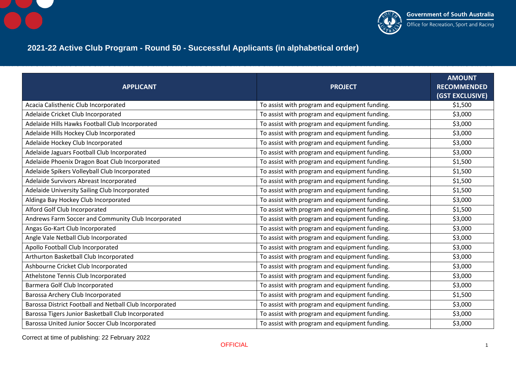



## **2021-22 Active Club Program - Round 50 - Successful Applicants (in alphabetical order)**

| <b>APPLICANT</b>                                        | <b>PROJECT</b>                                | <b>AMOUNT</b><br><b>RECOMMENDED</b><br>(GST EXCLUSIVE) |
|---------------------------------------------------------|-----------------------------------------------|--------------------------------------------------------|
| Acacia Calisthenic Club Incorporated                    | To assist with program and equipment funding. | \$1,500                                                |
| Adelaide Cricket Club Incorporated                      | To assist with program and equipment funding. | \$3,000                                                |
| Adelaide Hills Hawks Football Club Incorporated         | To assist with program and equipment funding. | \$3,000                                                |
| Adelaide Hills Hockey Club Incorporated                 | To assist with program and equipment funding. | \$3,000                                                |
| Adelaide Hockey Club Incorporated                       | To assist with program and equipment funding. | \$3,000                                                |
| Adelaide Jaguars Football Club Incorporated             | To assist with program and equipment funding. | \$3,000                                                |
| Adelaide Phoenix Dragon Boat Club Incorporated          | To assist with program and equipment funding. | \$1,500                                                |
| Adelaide Spikers Volleyball Club Incorporated           | To assist with program and equipment funding. | \$1,500                                                |
| Adelaide Survivors Abreast Incorporated                 | To assist with program and equipment funding. | \$1,500                                                |
| Adelaide University Sailing Club Incorporated           | To assist with program and equipment funding. | \$1,500                                                |
| Aldinga Bay Hockey Club Incorporated                    | To assist with program and equipment funding. | \$3,000                                                |
| Alford Golf Club Incorporated                           | To assist with program and equipment funding. | \$1,500                                                |
| Andrews Farm Soccer and Community Club Incorporated     | To assist with program and equipment funding. | \$3,000                                                |
| Angas Go-Kart Club Incorporated                         | To assist with program and equipment funding. | \$3,000                                                |
| Angle Vale Netball Club Incorporated                    | To assist with program and equipment funding. | \$3,000                                                |
| Apollo Football Club Incorporated                       | To assist with program and equipment funding. | \$3,000                                                |
| Arthurton Basketball Club Incorporated                  | To assist with program and equipment funding. | \$3,000                                                |
| Ashbourne Cricket Club Incorporated                     | To assist with program and equipment funding. | \$3,000                                                |
| Athelstone Tennis Club Incorporated                     | To assist with program and equipment funding. | \$3,000                                                |
| Barmera Golf Club Incorporated                          | To assist with program and equipment funding. | \$3,000                                                |
| Barossa Archery Club Incorporated                       | To assist with program and equipment funding. | \$1,500                                                |
| Barossa District Football and Netball Club Incorporated | To assist with program and equipment funding. | \$3,000                                                |
| Barossa Tigers Junior Basketball Club Incorporated      | To assist with program and equipment funding. | \$3,000                                                |
| Barossa United Junior Soccer Club Incorporated          | To assist with program and equipment funding. | \$3,000                                                |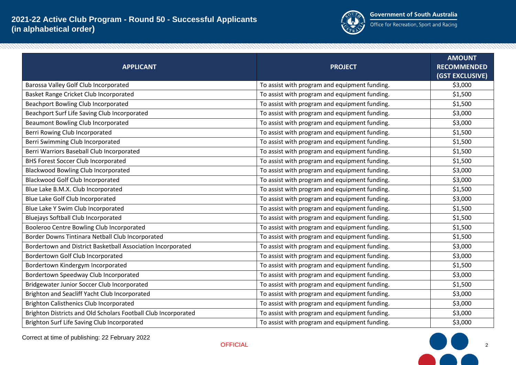

| <b>APPLICANT</b>                                               | <b>PROJECT</b>                                | <b>AMOUNT</b><br><b>RECOMMENDED</b><br>(GST EXCLUSIVE) |
|----------------------------------------------------------------|-----------------------------------------------|--------------------------------------------------------|
| Barossa Valley Golf Club Incorporated                          | To assist with program and equipment funding. | \$3,000                                                |
| Basket Range Cricket Club Incorporated                         | To assist with program and equipment funding. | \$1,500                                                |
| Beachport Bowling Club Incorporated                            | To assist with program and equipment funding. | \$1,500                                                |
| Beachport Surf Life Saving Club Incorporated                   | To assist with program and equipment funding. | \$3,000                                                |
| Beaumont Bowling Club Incorporated                             | To assist with program and equipment funding. | \$3,000                                                |
| Berri Rowing Club Incorporated                                 | To assist with program and equipment funding. | \$1,500                                                |
| Berri Swimming Club Incorporated                               | To assist with program and equipment funding. | \$1,500                                                |
| Berri Warriors Baseball Club Incorporated                      | To assist with program and equipment funding. | \$1,500                                                |
| <b>BHS Forest Soccer Club Incorporated</b>                     | To assist with program and equipment funding. | \$1,500                                                |
| <b>Blackwood Bowling Club Incorporated</b>                     | To assist with program and equipment funding. | \$3,000                                                |
| Blackwood Golf Club Incorporated                               | To assist with program and equipment funding. | \$3,000                                                |
| Blue Lake B.M.X. Club Incorporated                             | To assist with program and equipment funding. | \$1,500                                                |
| Blue Lake Golf Club Incorporated                               | To assist with program and equipment funding. | \$3,000                                                |
| Blue Lake Y Swim Club Incorporated                             | To assist with program and equipment funding. | \$1,500                                                |
| <b>Bluejays Softball Club Incorporated</b>                     | To assist with program and equipment funding. | \$1,500                                                |
| Booleroo Centre Bowling Club Incorporated                      | To assist with program and equipment funding. | \$1,500                                                |
| Border Downs Tintinara Netball Club Incorporated               | To assist with program and equipment funding. | \$1,500                                                |
| Bordertown and District Basketball Association Incorporated    | To assist with program and equipment funding. | \$3,000                                                |
| Bordertown Golf Club Incorporated                              | To assist with program and equipment funding. | \$3,000                                                |
| Bordertown Kindergym Incorporated                              | To assist with program and equipment funding. | \$1,500                                                |
| Bordertown Speedway Club Incorporated                          | To assist with program and equipment funding. | \$3,000                                                |
| Bridgewater Junior Soccer Club Incorporated                    | To assist with program and equipment funding. | \$1,500                                                |
| Brighton and Seacliff Yacht Club Incorporated                  | To assist with program and equipment funding. | \$3,000                                                |
| <b>Brighton Calisthenics Club Incorporated</b>                 | To assist with program and equipment funding. | \$3,000                                                |
| Brighton Districts and Old Scholars Football Club Incorporated | To assist with program and equipment funding. | \$3,000                                                |
| Brighton Surf Life Saving Club Incorporated                    | To assist with program and equipment funding. | \$3,000                                                |



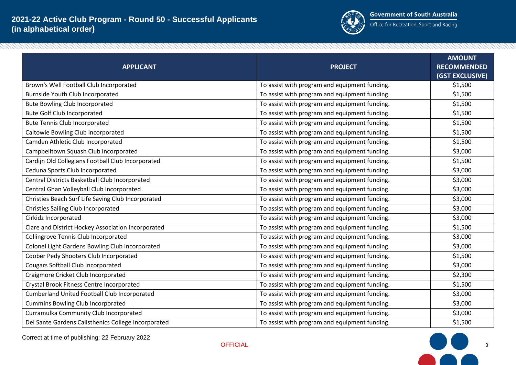

| <b>APPLICANT</b>                                    | <b>PROJECT</b>                                | <b>AMOUNT</b><br><b>RECOMMENDED</b><br>(GST EXCLUSIVE) |
|-----------------------------------------------------|-----------------------------------------------|--------------------------------------------------------|
| Brown's Well Football Club Incorporated             | To assist with program and equipment funding. | \$1,500                                                |
| Burnside Youth Club Incorporated                    | To assist with program and equipment funding. | \$1,500                                                |
| <b>Bute Bowling Club Incorporated</b>               | To assist with program and equipment funding. | \$1,500                                                |
| <b>Bute Golf Club Incorporated</b>                  | To assist with program and equipment funding. | \$1,500                                                |
| <b>Bute Tennis Club Incorporated</b>                | To assist with program and equipment funding. | \$1,500                                                |
| Caltowie Bowling Club Incorporated                  | To assist with program and equipment funding. | \$1,500                                                |
| Camden Athletic Club Incorporated                   | To assist with program and equipment funding. | \$1,500                                                |
| Campbelltown Squash Club Incorporated               | To assist with program and equipment funding. | \$3,000                                                |
| Cardijn Old Collegians Football Club Incorporated   | To assist with program and equipment funding. | \$1,500                                                |
| Ceduna Sports Club Incorporated                     | To assist with program and equipment funding. | \$3,000                                                |
| Central Districts Basketball Club Incorporated      | To assist with program and equipment funding. | \$3,000                                                |
| Central Ghan Volleyball Club Incorporated           | To assist with program and equipment funding. | \$3,000                                                |
| Christies Beach Surf Life Saving Club Incorporated  | To assist with program and equipment funding. | \$3,000                                                |
| <b>Christies Sailing Club Incorporated</b>          | To assist with program and equipment funding. | \$3,000                                                |
| Cirkidz Incorporated                                | To assist with program and equipment funding. | \$3,000                                                |
| Clare and District Hockey Association Incorporated  | To assist with program and equipment funding. | \$1,500                                                |
| Collingrove Tennis Club Incorporated                | To assist with program and equipment funding. | \$3,000                                                |
| Colonel Light Gardens Bowling Club Incorporated     | To assist with program and equipment funding. | \$3,000                                                |
| Coober Pedy Shooters Club Incorporated              | To assist with program and equipment funding. | \$1,500                                                |
| Cougars Softball Club Incorporated                  | To assist with program and equipment funding. | \$3,000                                                |
| Craigmore Cricket Club Incorporated                 | To assist with program and equipment funding. | \$2,300                                                |
| Crystal Brook Fitness Centre Incorporated           | To assist with program and equipment funding. | \$1,500                                                |
| Cumberland United Football Club Incorporated        | To assist with program and equipment funding. | \$3,000                                                |
| <b>Cummins Bowling Club Incorporated</b>            | To assist with program and equipment funding. | \$3,000                                                |
| Curramulka Community Club Incorporated              | To assist with program and equipment funding. | \$3,000                                                |
| Del Sante Gardens Calisthenics College Incorporated | To assist with program and equipment funding. | \$1,500                                                |



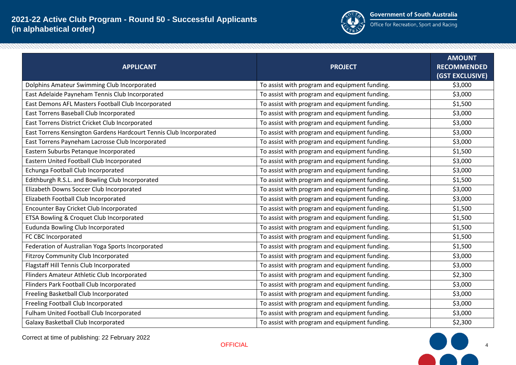

| <b>APPLICANT</b>                                                   | <b>PROJECT</b>                                | <b>AMOUNT</b><br><b>RECOMMENDED</b><br>(GST EXCLUSIVE) |
|--------------------------------------------------------------------|-----------------------------------------------|--------------------------------------------------------|
| Dolphins Amateur Swimming Club Incorporated                        | To assist with program and equipment funding. | \$3,000                                                |
| East Adelaide Payneham Tennis Club Incorporated                    | To assist with program and equipment funding. | \$3,000                                                |
| East Demons AFL Masters Football Club Incorporated                 | To assist with program and equipment funding. | \$1,500                                                |
| East Torrens Baseball Club Incorporated                            | To assist with program and equipment funding. | \$3,000                                                |
| East Torrens District Cricket Club Incorporated                    | To assist with program and equipment funding. | \$3,000                                                |
| East Torrens Kensington Gardens Hardcourt Tennis Club Incorporated | To assist with program and equipment funding. | \$3,000                                                |
| East Torrens Payneham Lacrosse Club Incorporated                   | To assist with program and equipment funding. | \$3,000                                                |
| Eastern Suburbs Petanque Incorporated                              | To assist with program and equipment funding. | \$1,500                                                |
| Eastern United Football Club Incorporated                          | To assist with program and equipment funding. | \$3,000                                                |
| Echunga Football Club Incorporated                                 | To assist with program and equipment funding. | \$3,000                                                |
| Edithburgh R.S.L. and Bowling Club Incorporated                    | To assist with program and equipment funding. | \$1,500                                                |
| Elizabeth Downs Soccer Club Incorporated                           | To assist with program and equipment funding. | \$3,000                                                |
| Elizabeth Football Club Incorporated                               | To assist with program and equipment funding. | \$3,000                                                |
| Encounter Bay Cricket Club Incorporated                            | To assist with program and equipment funding. | \$1,500                                                |
| ETSA Bowling & Croquet Club Incorporated                           | To assist with program and equipment funding. | \$1,500                                                |
| Eudunda Bowling Club Incorporated                                  | To assist with program and equipment funding. | \$1,500                                                |
| FC CBC Incorporated                                                | To assist with program and equipment funding. | \$1,500                                                |
| Federation of Australian Yoga Sports Incorporated                  | To assist with program and equipment funding. | \$1,500                                                |
| <b>Fitzroy Community Club Incorporated</b>                         | To assist with program and equipment funding. | \$3,000                                                |
| Flagstaff Hill Tennis Club Incorporated                            | To assist with program and equipment funding. | \$3,000                                                |
| Flinders Amateur Athletic Club Incorporated                        | To assist with program and equipment funding. | \$2,300                                                |
| Flinders Park Football Club Incorporated                           | To assist with program and equipment funding. | \$3,000                                                |
| Freeling Basketball Club Incorporated                              | To assist with program and equipment funding. | \$3,000                                                |
| Freeling Football Club Incorporated                                | To assist with program and equipment funding. | \$3,000                                                |
| Fulham United Football Club Incorporated                           | To assist with program and equipment funding. | \$3,000                                                |
| Galaxy Basketball Club Incorporated                                | To assist with program and equipment funding. | \$2,300                                                |

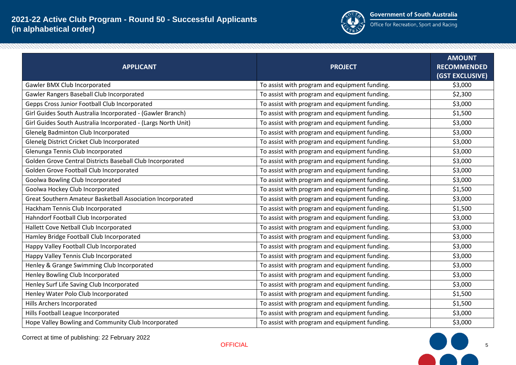

| <b>APPLICANT</b>                                              | <b>PROJECT</b>                                | <b>AMOUNT</b><br><b>RECOMMENDED</b><br>(GST EXCLUSIVE) |
|---------------------------------------------------------------|-----------------------------------------------|--------------------------------------------------------|
| Gawler BMX Club Incorporated                                  | To assist with program and equipment funding. | \$3,000                                                |
| Gawler Rangers Baseball Club Incorporated                     | To assist with program and equipment funding. | \$2,300                                                |
| Gepps Cross Junior Football Club Incorporated                 | To assist with program and equipment funding. | \$3,000                                                |
| Girl Guides South Australia Incorporated - (Gawler Branch)    | To assist with program and equipment funding. | \$1,500                                                |
| Girl Guides South Australia Incorporated - (Largs North Unit) | To assist with program and equipment funding. | \$3,000                                                |
| Glenelg Badminton Club Incorporated                           | To assist with program and equipment funding. | \$3,000                                                |
| Glenelg District Cricket Club Incorporated                    | To assist with program and equipment funding. | \$3,000                                                |
| Glenunga Tennis Club Incorporated                             | To assist with program and equipment funding. | \$3,000                                                |
| Golden Grove Central Districts Baseball Club Incorporated     | To assist with program and equipment funding. | \$3,000                                                |
| Golden Grove Football Club Incorporated                       | To assist with program and equipment funding. | \$3,000                                                |
| Goolwa Bowling Club Incorporated                              | To assist with program and equipment funding. | \$3,000                                                |
| Goolwa Hockey Club Incorporated                               | To assist with program and equipment funding. | \$1,500                                                |
| Great Southern Amateur Basketball Association Incorporated    | To assist with program and equipment funding. | \$3,000                                                |
| Hackham Tennis Club Incorporated                              | To assist with program and equipment funding. | \$1,500                                                |
| Hahndorf Football Club Incorporated                           | To assist with program and equipment funding. | \$3,000                                                |
| Hallett Cove Netball Club Incorporated                        | To assist with program and equipment funding. | \$3,000                                                |
| Hamley Bridge Football Club Incorporated                      | To assist with program and equipment funding. | \$3,000                                                |
| Happy Valley Football Club Incorporated                       | To assist with program and equipment funding. | \$3,000                                                |
| Happy Valley Tennis Club Incorporated                         | To assist with program and equipment funding. | \$3,000                                                |
| Henley & Grange Swimming Club Incorporated                    | To assist with program and equipment funding. | \$3,000                                                |
| Henley Bowling Club Incorporated                              | To assist with program and equipment funding. | \$3,000                                                |
| Henley Surf Life Saving Club Incorporated                     | To assist with program and equipment funding. | \$3,000                                                |
| Henley Water Polo Club Incorporated                           | To assist with program and equipment funding. | \$1,500                                                |
| Hills Archers Incorporated                                    | To assist with program and equipment funding. | \$1,500                                                |
| Hills Football League Incorporated                            | To assist with program and equipment funding. | \$3,000                                                |
| Hope Valley Bowling and Community Club Incorporated           | To assist with program and equipment funding. | \$3,000                                                |



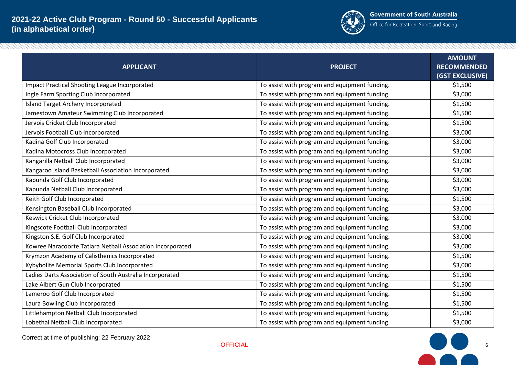

| <b>APPLICANT</b>                                           | <b>PROJECT</b>                                | <b>AMOUNT</b><br><b>RECOMMENDED</b><br>(GST EXCLUSIVE) |
|------------------------------------------------------------|-----------------------------------------------|--------------------------------------------------------|
| <b>Impact Practical Shooting League Incorporated</b>       | To assist with program and equipment funding. | \$1,500                                                |
| Ingle Farm Sporting Club Incorporated                      | To assist with program and equipment funding. | \$3,000                                                |
| <b>Island Target Archery Incorporated</b>                  | To assist with program and equipment funding. | \$1,500                                                |
| Jamestown Amateur Swimming Club Incorporated               | To assist with program and equipment funding. | \$1,500                                                |
| Jervois Cricket Club Incorporated                          | To assist with program and equipment funding. | \$1,500                                                |
| Jervois Football Club Incorporated                         | To assist with program and equipment funding. | \$3,000                                                |
| Kadina Golf Club Incorporated                              | To assist with program and equipment funding. | \$3,000                                                |
| Kadina Motocross Club Incorporated                         | To assist with program and equipment funding. | \$3,000                                                |
| Kangarilla Netball Club Incorporated                       | To assist with program and equipment funding. | \$3,000                                                |
| Kangaroo Island Basketball Association Incorporated        | To assist with program and equipment funding. | \$3,000                                                |
| Kapunda Golf Club Incorporated                             | To assist with program and equipment funding. | \$3,000                                                |
| Kapunda Netball Club Incorporated                          | To assist with program and equipment funding. | \$3,000                                                |
| Keith Golf Club Incorporated                               | To assist with program and equipment funding. | \$1,500                                                |
| Kensington Baseball Club Incorporated                      | To assist with program and equipment funding. | \$3,000                                                |
| Keswick Cricket Club Incorporated                          | To assist with program and equipment funding. | \$3,000                                                |
| Kingscote Football Club Incorporated                       | To assist with program and equipment funding. | \$3,000                                                |
| Kingston S.E. Golf Club Incorporated                       | To assist with program and equipment funding. | \$3,000                                                |
| Kowree Naracoorte Tatiara Netball Association Incorporated | To assist with program and equipment funding. | \$3,000                                                |
| Krymzon Academy of Calisthenics Incorporated               | To assist with program and equipment funding. | \$1,500                                                |
| Kybybolite Memorial Sports Club Incorporated               | To assist with program and equipment funding. | \$3,000                                                |
| Ladies Darts Association of South Australia Incorporated   | To assist with program and equipment funding. | \$1,500                                                |
| Lake Albert Gun Club Incorporated                          | To assist with program and equipment funding. | \$1,500                                                |
| Lameroo Golf Club Incorporated                             | To assist with program and equipment funding. | \$1,500                                                |
| Laura Bowling Club Incorporated                            | To assist with program and equipment funding. | \$1,500                                                |
| Littlehampton Netball Club Incorporated                    | To assist with program and equipment funding. | \$1,500                                                |
| Lobethal Netball Club Incorporated                         | To assist with program and equipment funding. | \$3,000                                                |



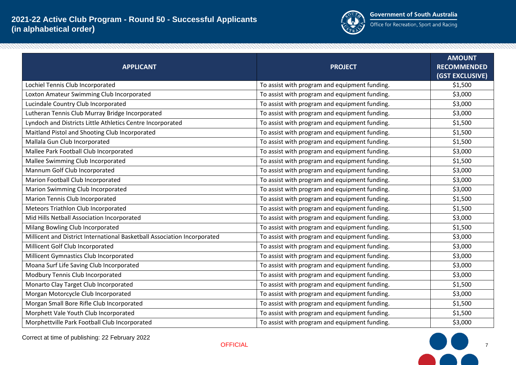

| <b>APPLICANT</b>                                                         | <b>PROJECT</b>                                | <b>AMOUNT</b><br><b>RECOMMENDED</b><br>(GST EXCLUSIVE) |
|--------------------------------------------------------------------------|-----------------------------------------------|--------------------------------------------------------|
| Lochiel Tennis Club Incorporated                                         | To assist with program and equipment funding. | \$1,500                                                |
| Loxton Amateur Swimming Club Incorporated                                | To assist with program and equipment funding. | \$3,000                                                |
| Lucindale Country Club Incorporated                                      | To assist with program and equipment funding. | \$3,000                                                |
| Lutheran Tennis Club Murray Bridge Incorporated                          | To assist with program and equipment funding. | \$3,000                                                |
| Lyndoch and Districts Little Athletics Centre Incorporated               | To assist with program and equipment funding. | \$1,500                                                |
| Maitland Pistol and Shooting Club Incorporated                           | To assist with program and equipment funding. | \$1,500                                                |
| Mallala Gun Club Incorporated                                            | To assist with program and equipment funding. | \$1,500                                                |
| Mallee Park Football Club Incorporated                                   | To assist with program and equipment funding. | \$3,000                                                |
| Mallee Swimming Club Incorporated                                        | To assist with program and equipment funding. | \$1,500                                                |
| Mannum Golf Club Incorporated                                            | To assist with program and equipment funding. | \$3,000                                                |
| Marion Football Club Incorporated                                        | To assist with program and equipment funding. | \$3,000                                                |
| Marion Swimming Club Incorporated                                        | To assist with program and equipment funding. | \$3,000                                                |
| Marion Tennis Club Incorporated                                          | To assist with program and equipment funding. | \$1,500                                                |
| Meteors Triathlon Club Incorporated                                      | To assist with program and equipment funding. | \$1,500                                                |
| Mid Hills Netball Association Incorporated                               | To assist with program and equipment funding. | \$3,000                                                |
| Milang Bowling Club Incorporated                                         | To assist with program and equipment funding. | \$1,500                                                |
| Millicent and District International Basketball Association Incorporated | To assist with program and equipment funding. | \$3,000                                                |
| Millicent Golf Club Incorporated                                         | To assist with program and equipment funding. | \$3,000                                                |
| Millicent Gymnastics Club Incorporated                                   | To assist with program and equipment funding. | \$3,000                                                |
| Moana Surf Life Saving Club Incorporated                                 | To assist with program and equipment funding. | \$3,000                                                |
| Modbury Tennis Club Incorporated                                         | To assist with program and equipment funding. | \$3,000                                                |
| Monarto Clay Target Club Incorporated                                    | To assist with program and equipment funding. | \$1,500                                                |
| Morgan Motorcycle Club Incorporated                                      | To assist with program and equipment funding. | \$3,000                                                |
| Morgan Small Bore Rifle Club Incorporated                                | To assist with program and equipment funding. | \$1,500                                                |
| Morphett Vale Youth Club Incorporated                                    | To assist with program and equipment funding. | \$1,500                                                |
| Morphettville Park Football Club Incorporated                            | To assist with program and equipment funding. | \$3,000                                                |

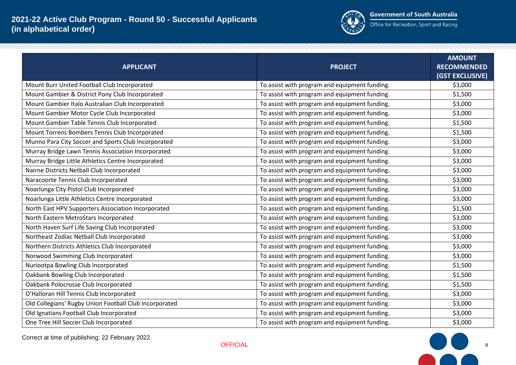

| <b>APPLICANT</b>                                       | <b>PROJECT</b>                                | <b>AMOUNT</b><br><b>RECOMMENDED</b><br>(GST EXCLUSIVE) |
|--------------------------------------------------------|-----------------------------------------------|--------------------------------------------------------|
| Mount Burr United Football Club Incorporated           | To assist with program and equipment funding. | \$3,000                                                |
| Mount Gambier & District Pony Club Incorporated        | To assist with program and equipment funding. | \$1,500                                                |
| Mount Gambier Italo Australian Club Incorporated       | To assist with program and equipment funding. | \$3,000                                                |
| Mount Gambier Motor Cycle Club Incorporated            | To assist with program and equipment funding. | \$3,000                                                |
| Mount Gambier Table Tennis Club Incorporated           | To assist with program and equipment funding. | \$1,500                                                |
| Mount Torrens Bombers Tennis Club Incorporated         | To assist with program and equipment funding. | \$1,500                                                |
| Munno Para City Soccer and Sports Club Incorporated    | To assist with program and equipment funding. | \$3,000                                                |
| Murray Bridge Lawn Tennis Association Incorporated     | To assist with program and equipment funding. | \$3,000                                                |
| Murray Bridge Little Athletics Centre Incorporated     | To assist with program and equipment funding. | \$3,000                                                |
| Nairne Districts Netball Club Incorporated             | To assist with program and equipment funding. | \$3,000                                                |
| Naracoorte Tennis Club Incorporated                    | To assist with program and equipment funding. | \$3,000                                                |
| Noarlunga City Pistol Club Incorporated                | To assist with program and equipment funding. | \$3,000                                                |
| Noarlunga Little Athletics Centre Incorporated         | To assist with program and equipment funding. | \$3,000                                                |
| North East HPV Supporters Association Incorporated     | To assist with program and equipment funding. | \$1,500                                                |
| North Eastern MetroStars Incorporated                  | To assist with program and equipment funding. | \$3,000                                                |
| North Haven Surf Life Saving Club Incorporated         | To assist with program and equipment funding. | \$3,000                                                |
| Northeast Zodiac Netball Club Incorporated             | To assist with program and equipment funding. | \$3,000                                                |
| Northern Districts Athletics Club Incorporated         | To assist with program and equipment funding. | \$3,000                                                |
| Norwood Swimming Club Incorporated                     | To assist with program and equipment funding. | \$3,000                                                |
| Nuriootpa Bowling Club Incorporated                    | To assist with program and equipment funding. | \$1,500                                                |
| Oakbank Bowling Club Incorporated                      | To assist with program and equipment funding. | \$1,500                                                |
| Oakbank Polocrosse Club Incorporated                   | To assist with program and equipment funding. | \$1,500                                                |
| O'Halloran Hill Tennis Club Incorporated               | To assist with program and equipment funding. | \$3,000                                                |
| Old Collegians' Rugby Union Football Club Incorporated | To assist with program and equipment funding. | \$3,000                                                |
| Old Ignatians Football Club Incorporated               | To assist with program and equipment funding. | \$3,000                                                |
| One Tree Hill Soccer Club Incorporated                 | To assist with program and equipment funding. | \$3,000                                                |



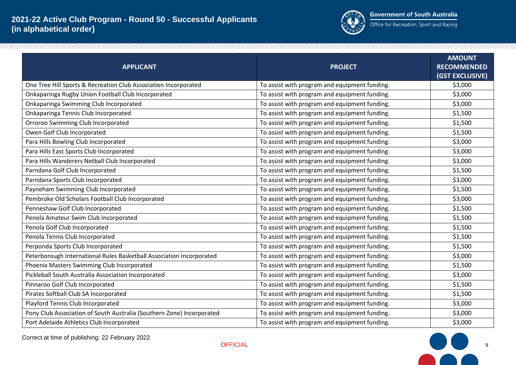

| <b>APPLICANT</b>                                                      | <b>PROJECT</b>                                | <b>AMOUNT</b><br><b>RECOMMENDED</b><br>(GST EXCLUSIVE) |
|-----------------------------------------------------------------------|-----------------------------------------------|--------------------------------------------------------|
| One Tree Hill Sports & Recreation Club Association Incorporated       | To assist with program and equipment funding. | \$3,000                                                |
| Onkaparinga Rugby Union Football Club Incorporated                    | To assist with program and equipment funding. | \$3,000                                                |
| Onkaparinga Swimming Club Incorporated                                | To assist with program and equipment funding. | \$3,000                                                |
| Onkaparinga Tennis Club Incorporated                                  | To assist with program and equipment funding. | \$1,500                                                |
| Orroroo Swimming Club Incorporated                                    | To assist with program and equipment funding. | \$1,500                                                |
| Owen Golf Club Incorporated                                           | To assist with program and equipment funding. | \$1,500                                                |
| Para Hills Bowling Club Incorporated                                  | To assist with program and equipment funding. | \$3,000                                                |
| Para Hills East Sports Club Incorporated                              | To assist with program and equipment funding. | \$3,000                                                |
| Para Hills Wanderers Netball Club Incorporated                        | To assist with program and equipment funding. | \$3,000                                                |
| Parndana Golf Club Incorporated                                       | To assist with program and equipment funding. | \$1,500                                                |
| Parndana Sports Club Incorporated                                     | To assist with program and equipment funding. | \$3,000                                                |
| Payneham Swimming Club Incorporated                                   | To assist with program and equipment funding. | \$1,500                                                |
| Pembroke Old Scholars Football Club Incorporated                      | To assist with program and equipment funding. | \$3,000                                                |
| Penneshaw Golf Club Incorporated                                      | To assist with program and equipment funding. | \$1,500                                                |
| Penola Amateur Swim Club Incorporated                                 | To assist with program and equipment funding. | \$1,500                                                |
| Penola Golf Club Incorporated                                         | To assist with program and equipment funding. | \$1,500                                                |
| Penola Tennis Club Incorporated                                       | To assist with program and equipment funding. | \$1,500                                                |
| Perponda Sports Club Incorporated                                     | To assist with program and equipment funding. | \$1,500                                                |
| Peterborough International Rules Basketball Association Incorporated  | To assist with program and equipment funding. | \$3,000                                                |
| Phoenix Masters Swimming Club Incorporated                            | To assist with program and equipment funding. | \$1,500                                                |
| Pickleball South Australia Association Incorporated                   | To assist with program and equipment funding. | \$3,000                                                |
| Pinnaroo Golf Club Incorporated                                       | To assist with program and equipment funding. | \$1,500                                                |
| Pirates Softball Club SA Incorporated                                 | To assist with program and equipment funding. | \$1,500                                                |
| Playford Tennis Club Incorporated                                     | To assist with program and equipment funding. | \$3,000                                                |
| Pony Club Association of South Australia (Southern Zone) Incorporated | To assist with program and equipment funding. | \$3,000                                                |
| Port Adelaide Athletics Club Incorporated                             | To assist with program and equipment funding. | \$3,000                                                |



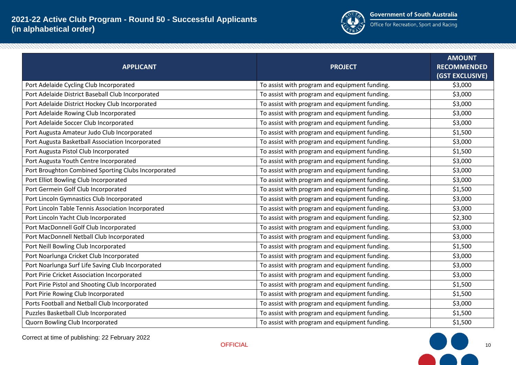

| <b>APPLICANT</b>                                    | <b>PROJECT</b>                                | <b>AMOUNT</b><br><b>RECOMMENDED</b><br>(GST EXCLUSIVE) |
|-----------------------------------------------------|-----------------------------------------------|--------------------------------------------------------|
| Port Adelaide Cycling Club Incorporated             | To assist with program and equipment funding. | \$3,000                                                |
| Port Adelaide District Baseball Club Incorporated   | To assist with program and equipment funding. | \$3,000                                                |
| Port Adelaide District Hockey Club Incorporated     | To assist with program and equipment funding. | \$3,000                                                |
| Port Adelaide Rowing Club Incorporated              | To assist with program and equipment funding. | \$3,000                                                |
| Port Adelaide Soccer Club Incorporated              | To assist with program and equipment funding. | \$3,000                                                |
| Port Augusta Amateur Judo Club Incorporated         | To assist with program and equipment funding. | \$1,500                                                |
| Port Augusta Basketball Association Incorporated    | To assist with program and equipment funding. | \$3,000                                                |
| Port Augusta Pistol Club Incorporated               | To assist with program and equipment funding. | \$1,500                                                |
| Port Augusta Youth Centre Incorporated              | To assist with program and equipment funding. | \$3,000                                                |
| Port Broughton Combined Sporting Clubs Incorporated | To assist with program and equipment funding. | \$3,000                                                |
| Port Elliot Bowling Club Incorporated               | To assist with program and equipment funding. | \$3,000                                                |
| Port Germein Golf Club Incorporated                 | To assist with program and equipment funding. | \$1,500                                                |
| Port Lincoln Gymnastics Club Incorporated           | To assist with program and equipment funding. | \$3,000                                                |
| Port Lincoln Table Tennis Association Incorporated  | To assist with program and equipment funding. | \$3,000                                                |
| Port Lincoln Yacht Club Incorporated                | To assist with program and equipment funding. | \$2,300                                                |
| Port MacDonnell Golf Club Incorporated              | To assist with program and equipment funding. | \$3,000                                                |
| Port MacDonnell Netball Club Incorporated           | To assist with program and equipment funding. | \$3,000                                                |
| Port Neill Bowling Club Incorporated                | To assist with program and equipment funding. | \$1,500                                                |
| Port Noarlunga Cricket Club Incorporated            | To assist with program and equipment funding. | \$3,000                                                |
| Port Noarlunga Surf Life Saving Club Incorporated   | To assist with program and equipment funding. | \$3,000                                                |
| Port Pirie Cricket Association Incorporated         | To assist with program and equipment funding. | \$3,000                                                |
| Port Pirie Pistol and Shooting Club Incorporated    | To assist with program and equipment funding. | \$1,500                                                |
| Port Pirie Rowing Club Incorporated                 | To assist with program and equipment funding. | \$1,500                                                |
| Ports Football and Netball Club Incorporated        | To assist with program and equipment funding. | \$3,000                                                |
| Puzzles Basketball Club Incorporated                | To assist with program and equipment funding. | \$1,500                                                |
| Quorn Bowling Club Incorporated                     | To assist with program and equipment funding. | \$1,500                                                |



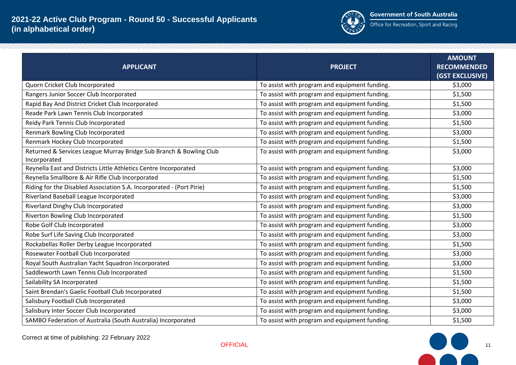

| <b>APPLICANT</b>                                                                   | <b>PROJECT</b>                                | <b>AMOUNT</b><br><b>RECOMMENDED</b><br>(GST EXCLUSIVE) |
|------------------------------------------------------------------------------------|-----------------------------------------------|--------------------------------------------------------|
| Quorn Cricket Club Incorporated                                                    | To assist with program and equipment funding. | \$3,000                                                |
| Rangers Junior Soccer Club Incorporated                                            | To assist with program and equipment funding. | \$1,500                                                |
| Rapid Bay And District Cricket Club Incorporated                                   | To assist with program and equipment funding. | \$1,500                                                |
| Reade Park Lawn Tennis Club Incorporated                                           | To assist with program and equipment funding. | \$3,000                                                |
| Reidy Park Tennis Club Incorporated                                                | To assist with program and equipment funding. | \$1,500                                                |
| Renmark Bowling Club Incorporated                                                  | To assist with program and equipment funding. | \$3,000                                                |
| Renmark Hockey Club Incorporated                                                   | To assist with program and equipment funding. | \$1,500                                                |
| Returned & Services League Murray Bridge Sub Branch & Bowling Club<br>Incorporated | To assist with program and equipment funding. | \$3,000                                                |
| Reynella East and Districts Little Athletics Centre Incorporated                   | To assist with program and equipment funding. | \$3,000                                                |
| Reynella Smallbore & Air Rifle Club Incorporated                                   | To assist with program and equipment funding. | \$1,500                                                |
| Riding for the Disabled Association S.A. Incorporated - (Port Pirie)               | To assist with program and equipment funding. | \$1,500                                                |
| Riverland Baseball League Incorporated                                             | To assist with program and equipment funding. | \$3,000                                                |
| Riverland Dinghy Club Incorporated                                                 | To assist with program and equipment funding. | \$3,000                                                |
| Riverton Bowling Club Incorporated                                                 | To assist with program and equipment funding. | \$1,500                                                |
| Robe Golf Club Incorporated                                                        | To assist with program and equipment funding. | \$3,000                                                |
| Robe Surf Life Saving Club Incorporated                                            | To assist with program and equipment funding. | \$3,000                                                |
| Rockabellas Roller Derby League Incorporated                                       | To assist with program and equipment funding. | \$1,500                                                |
| Rosewater Football Club Incorporated                                               | To assist with program and equipment funding. | \$3,000                                                |
| Royal South Australian Yacht Squadron Incorporated                                 | To assist with program and equipment funding. | \$3,000                                                |
| Saddleworth Lawn Tennis Club Incorporated                                          | To assist with program and equipment funding. | \$1,500                                                |
| Sailability SA Incorporated                                                        | To assist with program and equipment funding. | \$1,500                                                |
| Saint Brendan's Gaelic Football Club Incorporated                                  | To assist with program and equipment funding. | \$1,500                                                |
| Salisbury Football Club Incorporated                                               | To assist with program and equipment funding. | \$3,000                                                |
| Salisbury Inter Soccer Club Incorporated                                           | To assist with program and equipment funding. | \$3,000                                                |
| SAMBO Federation of Australia (South Australia) Incorporated                       | To assist with program and equipment funding. | \$1,500                                                |

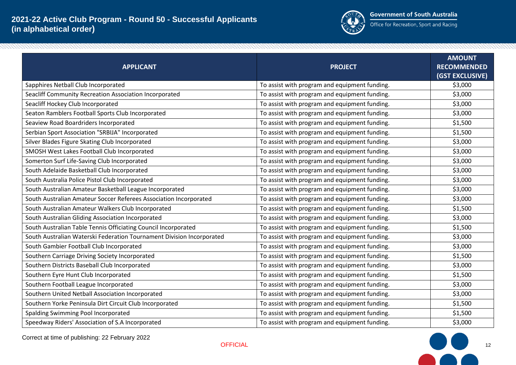

| <b>APPLICANT</b>                                                      | <b>PROJECT</b>                                | <b>AMOUNT</b><br><b>RECOMMENDED</b><br>(GST EXCLUSIVE) |
|-----------------------------------------------------------------------|-----------------------------------------------|--------------------------------------------------------|
| Sapphires Netball Club Incorporated                                   | To assist with program and equipment funding. | \$3,000                                                |
| Seacliff Community Recreation Association Incorporated                | To assist with program and equipment funding. | \$3,000                                                |
| Seacliff Hockey Club Incorporated                                     | To assist with program and equipment funding. | \$3,000                                                |
| Seaton Ramblers Football Sports Club Incorporated                     | To assist with program and equipment funding. | \$3,000                                                |
| Seaview Road Boardriders Incorporated                                 | To assist with program and equipment funding. | \$1,500                                                |
| Serbian Sport Association "SRBIJA" Incorporated                       | To assist with program and equipment funding. | \$1,500                                                |
| Silver Blades Figure Skating Club Incorporated                        | To assist with program and equipment funding. | \$3,000                                                |
| SMOSH West Lakes Football Club Incorporated                           | To assist with program and equipment funding. | \$3,000                                                |
| Somerton Surf Life-Saving Club Incorporated                           | To assist with program and equipment funding. | \$3,000                                                |
| South Adelaide Basketball Club Incorporated                           | To assist with program and equipment funding. | \$3,000                                                |
| South Australia Police Pistol Club Incorporated                       | To assist with program and equipment funding. | \$3,000                                                |
| South Australian Amateur Basketball League Incorporated               | To assist with program and equipment funding. | \$3,000                                                |
| South Australian Amateur Soccer Referees Association Incorporated     | To assist with program and equipment funding. | \$3,000                                                |
| South Australian Amateur Walkers Club Incorporated                    | To assist with program and equipment funding. | \$1,500                                                |
| South Australian Gliding Association Incorporated                     | To assist with program and equipment funding. | \$3,000                                                |
| South Australian Table Tennis Officiating Council Incorporated        | To assist with program and equipment funding. | \$1,500                                                |
| South Australian Waterski Federation Tournament Division Incorporated | To assist with program and equipment funding. | \$3,000                                                |
| South Gambier Football Club Incorporated                              | To assist with program and equipment funding. | \$3,000                                                |
| Southern Carriage Driving Society Incorporated                        | To assist with program and equipment funding. | \$1,500                                                |
| Southern Districts Baseball Club Incorporated                         | To assist with program and equipment funding. | \$3,000                                                |
| Southern Eyre Hunt Club Incorporated                                  | To assist with program and equipment funding. | \$1,500                                                |
| Southern Football League Incorporated                                 | To assist with program and equipment funding. | \$3,000                                                |
| Southern United Netball Association Incorporated                      | To assist with program and equipment funding. | \$3,000                                                |
| Southern Yorke Peninsula Dirt Circuit Club Incorporated               | To assist with program and equipment funding. | \$1,500                                                |
| Spalding Swimming Pool Incorporated                                   | To assist with program and equipment funding. | \$1,500                                                |
| Speedway Riders' Association of S.A Incorporated                      | To assist with program and equipment funding. | \$3,000                                                |



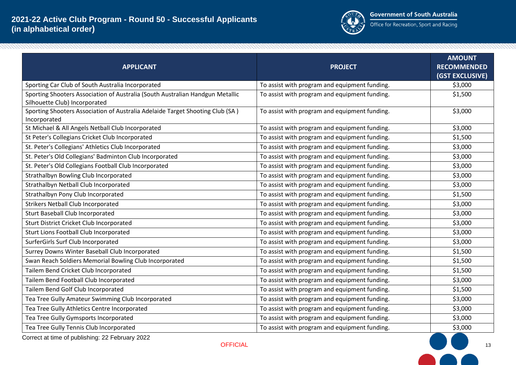

| <b>APPLICANT</b>                                                                                               | <b>PROJECT</b>                                | <b>AMOUNT</b><br><b>RECOMMENDED</b><br>(GST EXCLUSIVE) |
|----------------------------------------------------------------------------------------------------------------|-----------------------------------------------|--------------------------------------------------------|
| Sporting Car Club of South Australia Incorporated                                                              | To assist with program and equipment funding. | \$3,000                                                |
| Sporting Shooters Association of Australia (South Australian Handgun Metallic<br>Silhouette Club) Incorporated | To assist with program and equipment funding. | \$1,500                                                |
| Sporting Shooters Association of Australia Adelaide Target Shooting Club (SA)<br>Incorporated                  | To assist with program and equipment funding. | \$3,000                                                |
| St Michael & All Angels Netball Club Incorporated                                                              | To assist with program and equipment funding. | \$3,000                                                |
| St Peter's Collegians Cricket Club Incorporated                                                                | To assist with program and equipment funding. | \$1,500                                                |
| St. Peter's Collegians' Athletics Club Incorporated                                                            | To assist with program and equipment funding. | \$3,000                                                |
| St. Peter's Old Collegians' Badminton Club Incorporated                                                        | To assist with program and equipment funding. | \$3,000                                                |
| St. Peter's Old Collegians Football Club Incorporated                                                          | To assist with program and equipment funding. | \$3,000                                                |
| Strathalbyn Bowling Club Incorporated                                                                          | To assist with program and equipment funding. | \$3,000                                                |
| Strathalbyn Netball Club Incorporated                                                                          | To assist with program and equipment funding. | \$3,000                                                |
| Strathalbyn Pony Club Incorporated                                                                             | To assist with program and equipment funding. | \$1,500                                                |
| <b>Strikers Netball Club Incorporated</b>                                                                      | To assist with program and equipment funding. | \$3,000                                                |
| <b>Sturt Baseball Club Incorporated</b>                                                                        | To assist with program and equipment funding. | \$3,000                                                |
| Sturt District Cricket Club Incorporated                                                                       | To assist with program and equipment funding. | \$3,000                                                |
| Sturt Lions Football Club Incorporated                                                                         | To assist with program and equipment funding. | \$3,000                                                |
| SurferGirls Surf Club Incorporated                                                                             | To assist with program and equipment funding. | \$3,000                                                |
| Surrey Downs Winter Baseball Club Incorporated                                                                 | To assist with program and equipment funding. | \$1,500                                                |
| Swan Reach Soldiers Memorial Bowling Club Incorporated                                                         | To assist with program and equipment funding. | \$1,500                                                |
| Tailem Bend Cricket Club Incorporated                                                                          | To assist with program and equipment funding. | \$1,500                                                |
| Tailem Bend Football Club Incorporated                                                                         | To assist with program and equipment funding. | \$3,000                                                |
| Tailem Bend Golf Club Incorporated                                                                             | To assist with program and equipment funding. | \$1,500                                                |
| Tea Tree Gully Amateur Swimming Club Incorporated                                                              | To assist with program and equipment funding. | \$3,000                                                |
| Tea Tree Gully Athletics Centre Incorporated                                                                   | To assist with program and equipment funding. | \$3,000                                                |
| Tea Tree Gully Gymsports Incorporated                                                                          | To assist with program and equipment funding. | \$3,000                                                |
| Tea Tree Gully Tennis Club Incorporated                                                                        | To assist with program and equipment funding. | \$3,000                                                |

Correct at time of publishing: 22 February 2022

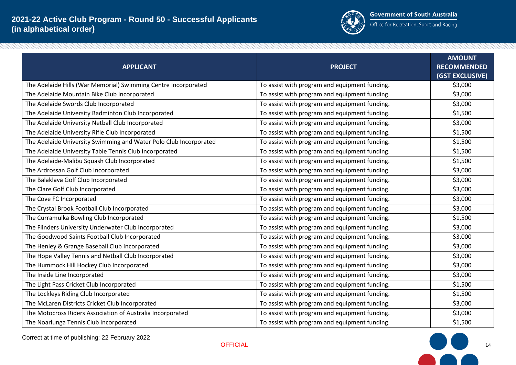

| <b>APPLICANT</b>                                                  | <b>PROJECT</b>                                | <b>AMOUNT</b><br><b>RECOMMENDED</b><br>(GST EXCLUSIVE) |
|-------------------------------------------------------------------|-----------------------------------------------|--------------------------------------------------------|
| The Adelaide Hills (War Memorial) Swimming Centre Incorporated    | To assist with program and equipment funding. | \$3,000                                                |
| The Adelaide Mountain Bike Club Incorporated                      | To assist with program and equipment funding. | \$3,000                                                |
| The Adelaide Swords Club Incorporated                             | To assist with program and equipment funding. | \$3,000                                                |
| The Adelaide University Badminton Club Incorporated               | To assist with program and equipment funding. | \$1,500                                                |
| The Adelaide University Netball Club Incorporated                 | To assist with program and equipment funding. | \$3,000                                                |
| The Adelaide University Rifle Club Incorporated                   | To assist with program and equipment funding. | \$1,500                                                |
| The Adelaide University Swimming and Water Polo Club Incorporated | To assist with program and equipment funding. | \$1,500                                                |
| The Adelaide University Table Tennis Club Incorporated            | To assist with program and equipment funding. | \$1,500                                                |
| The Adelaide-Malibu Squash Club Incorporated                      | To assist with program and equipment funding. | \$1,500                                                |
| The Ardrossan Golf Club Incorporated                              | To assist with program and equipment funding. | \$3,000                                                |
| The Balaklava Golf Club Incorporated                              | To assist with program and equipment funding. | \$3,000                                                |
| The Clare Golf Club Incorporated                                  | To assist with program and equipment funding. | \$3,000                                                |
| The Cove FC Incorporated                                          | To assist with program and equipment funding. | \$3,000                                                |
| The Crystal Brook Football Club Incorporated                      | To assist with program and equipment funding. | \$3,000                                                |
| The Curramulka Bowling Club Incorporated                          | To assist with program and equipment funding. | \$1,500                                                |
| The Flinders University Underwater Club Incorporated              | To assist with program and equipment funding. | \$3,000                                                |
| The Goodwood Saints Football Club Incorporated                    | To assist with program and equipment funding. | \$3,000                                                |
| The Henley & Grange Baseball Club Incorporated                    | To assist with program and equipment funding. | \$3,000                                                |
| The Hope Valley Tennis and Netball Club Incorporated              | To assist with program and equipment funding. | \$3,000                                                |
| The Hummock Hill Hockey Club Incorporated                         | To assist with program and equipment funding. | \$3,000                                                |
| The Inside Line Incorporated                                      | To assist with program and equipment funding. | \$3,000                                                |
| The Light Pass Cricket Club Incorporated                          | To assist with program and equipment funding. | \$1,500                                                |
| The Lockleys Riding Club Incorporated                             | To assist with program and equipment funding. | \$1,500                                                |
| The McLaren Districts Cricket Club Incorporated                   | To assist with program and equipment funding. | \$3,000                                                |
| The Motocross Riders Association of Australia Incorporated        | To assist with program and equipment funding. | \$3,000                                                |
| The Noarlunga Tennis Club Incorporated                            | To assist with program and equipment funding. | \$1,500                                                |

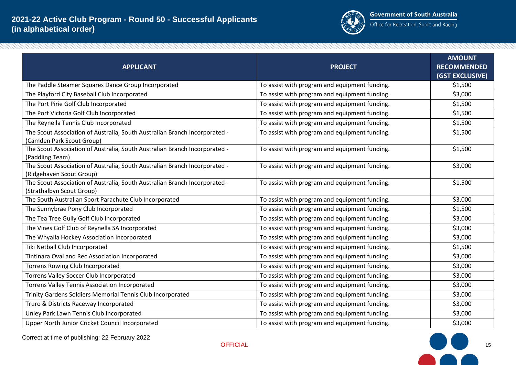

| <b>APPLICANT</b>                                                                                        | <b>PROJECT</b>                                | <b>AMOUNT</b><br><b>RECOMMENDED</b><br>(GST EXCLUSIVE) |
|---------------------------------------------------------------------------------------------------------|-----------------------------------------------|--------------------------------------------------------|
| The Paddle Steamer Squares Dance Group Incorporated                                                     | To assist with program and equipment funding. | \$1,500                                                |
| The Playford City Baseball Club Incorporated                                                            | To assist with program and equipment funding. | \$3,000                                                |
| The Port Pirie Golf Club Incorporated                                                                   | To assist with program and equipment funding. | \$1,500                                                |
| The Port Victoria Golf Club Incorporated                                                                | To assist with program and equipment funding. | \$1,500                                                |
| The Reynella Tennis Club Incorporated                                                                   | To assist with program and equipment funding. | \$1,500                                                |
| The Scout Association of Australia, South Australian Branch Incorporated -<br>(Camden Park Scout Group) | To assist with program and equipment funding. | \$1,500                                                |
| The Scout Association of Australia, South Australian Branch Incorporated -<br>(Paddling Team)           | To assist with program and equipment funding. | \$1,500                                                |
| The Scout Association of Australia, South Australian Branch Incorporated -<br>(Ridgehaven Scout Group)  | To assist with program and equipment funding. | \$3,000                                                |
| The Scout Association of Australia, South Australian Branch Incorporated -<br>(Strathalbyn Scout Group) | To assist with program and equipment funding. | \$1,500                                                |
| The South Australian Sport Parachute Club Incorporated                                                  | To assist with program and equipment funding. | \$3,000                                                |
| The Sunnybrae Pony Club Incorporated                                                                    | To assist with program and equipment funding. | \$1,500                                                |
| The Tea Tree Gully Golf Club Incorporated                                                               | To assist with program and equipment funding. | \$3,000                                                |
| The Vines Golf Club of Reynella SA Incorporated                                                         | To assist with program and equipment funding. | \$3,000                                                |
| The Whyalla Hockey Association Incorporated                                                             | To assist with program and equipment funding. | \$3,000                                                |
| Tiki Netball Club Incorporated                                                                          | To assist with program and equipment funding. | \$1,500                                                |
| Tintinara Oval and Rec Association Incorporated                                                         | To assist with program and equipment funding. | \$3,000                                                |
| <b>Torrens Rowing Club Incorporated</b>                                                                 | To assist with program and equipment funding. | \$3,000                                                |
| Torrens Valley Soccer Club Incorporated                                                                 | To assist with program and equipment funding. | \$3,000                                                |
| Torrens Valley Tennis Association Incorporated                                                          | To assist with program and equipment funding. | \$3,000                                                |
| Trinity Gardens Soldiers Memorial Tennis Club Incorporated                                              | To assist with program and equipment funding. | \$3,000                                                |
| Truro & Districts Raceway Incorporated                                                                  | To assist with program and equipment funding. | \$3,000                                                |
| Unley Park Lawn Tennis Club Incorporated                                                                | To assist with program and equipment funding. | \$3,000                                                |
| Upper North Junior Cricket Council Incorporated                                                         | To assist with program and equipment funding. | \$3,000                                                |



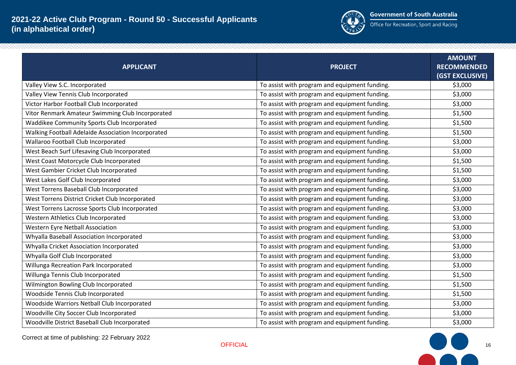

| <b>APPLICANT</b>                                   | <b>PROJECT</b>                                | <b>AMOUNT</b><br><b>RECOMMENDED</b><br>(GST EXCLUSIVE) |
|----------------------------------------------------|-----------------------------------------------|--------------------------------------------------------|
| Valley View S.C. Incorporated                      | To assist with program and equipment funding. | \$3,000                                                |
| Valley View Tennis Club Incorporated               | To assist with program and equipment funding. | \$3,000                                                |
| Victor Harbor Football Club Incorporated           | To assist with program and equipment funding. | \$3,000                                                |
| Vitor Renmark Amateur Swimming Club Incorporated   | To assist with program and equipment funding. | \$1,500                                                |
| Waddikee Community Sports Club Incorporated        | To assist with program and equipment funding. | \$1,500                                                |
| Walking Football Adelaide Association Incorporated | To assist with program and equipment funding. | \$1,500                                                |
| Wallaroo Football Club Incorporated                | To assist with program and equipment funding. | \$3,000                                                |
| West Beach Surf Lifesaving Club Incorporated       | To assist with program and equipment funding. | \$3,000                                                |
| West Coast Motorcycle Club Incorporated            | To assist with program and equipment funding. | \$1,500                                                |
| West Gambier Cricket Club Incorporated             | To assist with program and equipment funding. | \$1,500                                                |
| West Lakes Golf Club Incorporated                  | To assist with program and equipment funding. | \$3,000                                                |
| West Torrens Baseball Club Incorporated            | To assist with program and equipment funding. | \$3,000                                                |
| West Torrens District Cricket Club Incorporated    | To assist with program and equipment funding. | \$3,000                                                |
| West Torrens Lacrosse Sports Club Incorporated     | To assist with program and equipment funding. | \$3,000                                                |
| Western Athletics Club Incorporated                | To assist with program and equipment funding. | \$3,000                                                |
| Western Eyre Netball Association                   | To assist with program and equipment funding. | \$3,000                                                |
| Whyalla Baseball Association Incorporated          | To assist with program and equipment funding. | \$3,000                                                |
| Whyalla Cricket Association Incorporated           | To assist with program and equipment funding. | \$3,000                                                |
| Whyalla Golf Club Incorporated                     | To assist with program and equipment funding. | \$3,000                                                |
| Willunga Recreation Park Incorporated              | To assist with program and equipment funding. | \$3,000                                                |
| Willunga Tennis Club Incorporated                  | To assist with program and equipment funding. | \$1,500                                                |
| Wilmington Bowling Club Incorporated               | To assist with program and equipment funding. | \$1,500                                                |
| Woodside Tennis Club Incorporated                  | To assist with program and equipment funding. | \$1,500                                                |
| Woodside Warriors Netball Club Incorporated        | To assist with program and equipment funding. | \$3,000                                                |
| Woodville City Soccer Club Incorporated            | To assist with program and equipment funding. | \$3,000                                                |
| Woodville District Baseball Club Incorporated      | To assist with program and equipment funding. | \$3,000                                                |